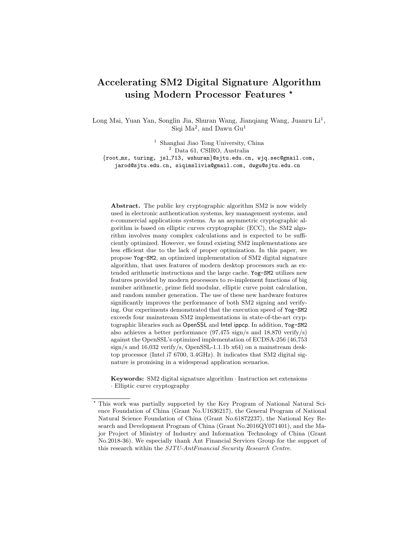# Accelerating SM2 Digital Signature Algorithm using Modern Processor Features \*

Long Mai, Yuan Yan, Songlin Jia, Shuran Wang, Jianqiang Wang, Juanru Li<sup>1</sup>, Siqi Ma<sup>2</sup>, and Dawu Gu<sup>1</sup>

<sup>1</sup> Shanghai Jiao Tong University, China <sup>2</sup> Data 61, CSIRO, Australia {root mx, turing, jsl 713, wshuran}@sjtu.edu.cn, wjq.sec@gmail.com,

jarod@sjtu.edu.cn, siqimslivia@gmail.com, dwgu@sjtu.edu.cn

Abstract. The public key cryptographic algorithm SM2 is now widely used in electronic authentication systems, key management systems, and e-commercial applications systems. As an asymmetric cryptographic algorithm is based on elliptic curves cryptographic (ECC), the SM2 algorithm involves many complex calculations and is expected to be sufficiently optimized. However, we found existing SM2 implementations are less efficient due to the lack of proper optimization. In this paper, we propose Yog-SM2, an optimized implementation of SM2 digital signature algorithm, that uses features of modern desktop processors such as extended arithmetic instructions and the large cache. Yog-SM2 utilizes new features provided by modern processors to re-implement functions of big number arithmetic, prime field modular, elliptic curve point calculation, and random number generation. The use of these new hardware features significantly improves the performance of both SM2 signing and verifying. Our experiments demonstrated that the execution speed of Yog-SM2 exceeds four mainstream SM2 implementations in state-of-the-art cryptographic libraries such as OpenSSL and Intel ippcp. In addition, Yog-SM2 also achieves a better performance (97,475 sign/s and 18,870 verify/s) against the OpenSSL's optimized implementation of ECDSA-256 (46,753 sign/s and  $16,032$  verify/s, OpenSSL-1.1.1b  $x64$ ) on a mainstream desktop processor (Intel i7 6700, 3.4GHz). It indicates that SM2 digital signature is promising in a widespread application scenarios.

Keywords: SM2 digital signature algorithm · Instruction set extensions · Elliptic curve cryptography

<sup>?</sup> This work was partially supported by the Key Program of National Natural Science Foundation of China (Grant No.U1636217), the General Program of National Natural Science Foundation of China (Grant No.61872237), the National Key Research and Development Program of China (Grant No.2016QY071401), and the Major Project of Ministry of Industry and Information Technology of China (Grant No.2018-36). We especially thank Ant Financial Services Group for the support of this research within the SJTU-AntFinancial Security Research Centre.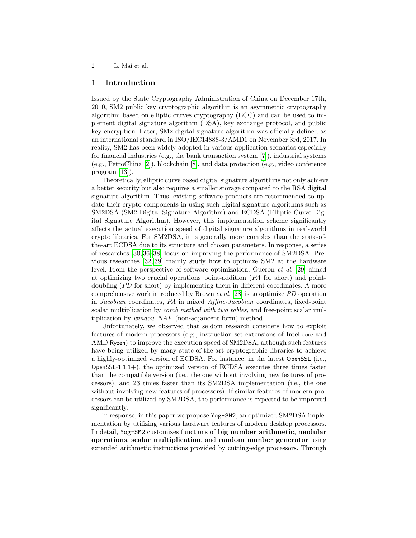## 1 Introduction

Issued by the State Cryptography Administration of China on December 17th, 2010, SM2 public key cryptographic algorithm is an asymmetric cryptography algorithm based on elliptic curves cryptography (ECC) and can be used to implement digital signature algorithm (DSA), key exchange protocol, and public key encryption. Later, SM2 digital signature algorithm was officially defined as an international standard in ISO/IEC14888-3/AMD1 on November 3rd, 2017. In reality, SM2 has been widely adopted in various application scenarios especially for financial industries (e.g., the bank transaction system  $[7]$ ), industrial systems (e.g., PetroChina [\[2\]](#page-14-0)), blockchain [\[8\]](#page-15-1), and data protection (e.g., video conference program [\[13\]](#page-15-2)).

Theoretically, elliptic curve based digital signature algorithms not only achieve a better security but also requires a smaller storage compared to the RSA digital signature algorithm. Thus, existing software products are recommended to update their crypto components in using such digital signature algorithms such as SM2DSA (SM2 Digital Signature Algorithm) and ECDSA (Elliptic Curve Digital Signature Algorithm). However, this implementation scheme significantly affects the actual execution speed of digital signature algorithms in real-world crypto libraries. For SM2DSA, it is generally more complex than the state-ofthe-art ECDSA due to its structure and chosen parameters. In response, a series of researches [\[30,](#page-15-3) [36–](#page-16-0)[38\]](#page-16-1) focus on improving the performance of SM2DSA. Previous researches [\[32,](#page-15-4) [39\]](#page-16-2) mainly study how to optimize SM2 at the hardware level. From the perspective of software optimization, Gueron et al. [\[29\]](#page-15-5) aimed at optimizing two crucial operations–point-addition (PA for short) and pointdoubling (PD for short) by implementing them in different coordinates. A more comprehensive work introduced by Brown et al. [\[28\]](#page-15-6) is to optimize PD operation in Jacobian coordinates, PA in mixed Affine-Jacobian coordinates, fixed-point scalar multiplication by *comb method with two tables*, and free-point scalar multiplication by window NAF (non-adjancent form) method.

Unfortunately, we observed that seldom research considers how to exploit features of modern processors (e.g., instruction set extensions of Intel core and AMD Ryzen) to improve the execution speed of SM2DSA, although such features have being utilized by many state-of-the-art cryptographic libraries to achieve a highly-optimized version of ECDSA. For instance, in the latest OpenSSL (i.e.,  $OpenSSL-1.1.1+$ , the optimized version of ECDSA executes three times faster than the compatible version (i.e., the one without involving new features of processors), and 23 times faster than its SM2DSA implementation (i.e., the one without involving new features of processors). If similar features of modern processors can be utilized by SM2DSA, the performance is expected to be improved significantly.

In response, in this paper we propose Yog-SM2, an optimized SM2DSA implementation by utilizing various hardware features of modern desktop processors. In detail, Yog-SM2 customizes functions of big number arithmetic, modular operations, scalar multiplication, and random number generator using extended arithmetic instructions provided by cutting-edge processors. Through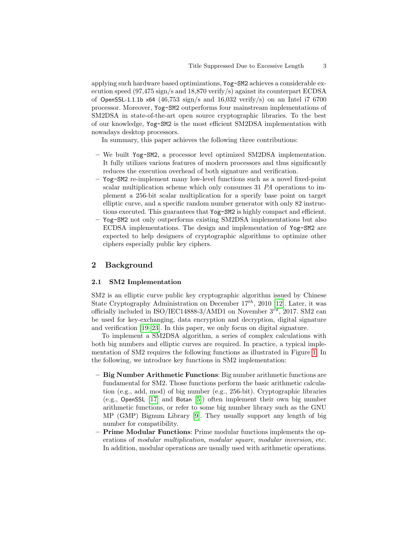applying such hardware based optimizations, Yog-SM2 achieves a considerable execution speed (97,475 sign/s and 18,870 verify/s) against its counterpart ECDSA of OpenSSL-1.1.1b  $\times$ 64 (46,753 sign/s and 16,032 verify/s) on an Intel i7 6700 processor. Moreover, Yog-SM2 outperforms four mainstream implementations of SM2DSA in state-of-the-art open source cryptographic libraries. To the best of our knowledge, Yog-SM2 is the most efficient SM2DSA implementation with nowadays desktop processors.

In summary, this paper achieves the following three contributions:

- We built Yog-SM2, a processor level optimized SM2DSA implementation. It fully utilizes various features of modern processors and thus significantly reduces the execution overhead of both signature and verification.
- Yog-SM2 re-implement many low-level functions such as a novel fixed-point scalar multiplication scheme which only consumes 31 PA operations to implement a 256-bit scalar multiplication for a specify base point on target elliptic curve, and a specific random number generator with only 82 instructions executed. This guarantees that Yog-SM2 is highly compact and efficient.
- Yog-SM2 not only outperforms existing SM2DSA implementations but also ECDSA implementations. The design and implementation of Yog-SM2 are expected to help designers of cryptographic algorithms to optimize other ciphers especially public key ciphers.

## 2 Background

#### 2.1 SM2 Implementation

SM2 is an elliptic curve public key cryptographic algorithm issued by Chinese State Cryptography Administration on December  $17^{th}$ , 2010 [\[12\]](#page-15-7). Later, it was officially included in ISO/IEC14888-3/AMD1 on November  $3^{rd}$ , 2017. SM2 can be used for key-exchanging, data encryption and decryption, digital signature and verification [\[19](#page-15-8)[–23\]](#page-15-9). In this paper, we only focus on digital signature.

To implement a SM2DSA algorithm, a series of complex calculations with both big numbers and elliptic curves are required. In practice, a typical implementation of SM2 requires the following functions as illustrated in Figure [1.](#page-3-0) In the following, we introduce key functions in SM2 implementation:

- Big Number Arithmetic Functions: Big number arithmetic functions are fundamental for SM2. Those functions perform the basic arithmetic calculation (e.g., add, mod) of big number (e.g., 256-bit). Cryptographic libraries (e.g., OpenSSL [\[17\]](#page-15-10) and Botan [\[5\]](#page-14-1)) often implement their own big number arithmetic functions, or refer to some big number library such as the GNU MP (GMP) Bignum Library [\[9\]](#page-15-11). They usually support any length of big number for compatibility.
- Prime Modular Functions: Prime modular functions implements the operations of modular multiplication, modular square, modular inversion, etc. In addition, modular operations are usually used with arithmetic operations.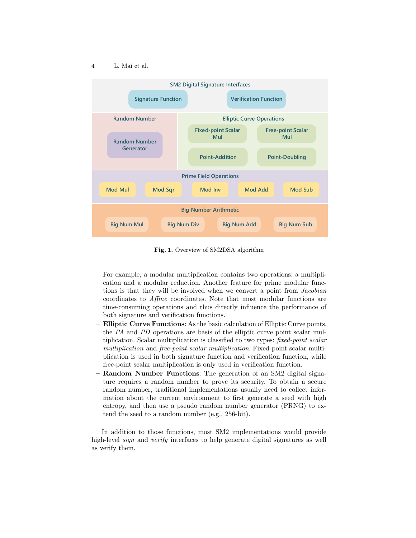

<span id="page-3-0"></span>Fig. 1. Overview of SM2DSA algorithm

For example, a modular multiplication contains two operations: a multiplication and a modular reduction. Another feature for prime modular functions is that they will be involved when we convert a point from Jacobian coordinates to Affine coordinates. Note that most modular functions are time-consuming operations and thus directly influence the performance of both signature and verification functions.

- Elliptic Curve Functions: As the basic calculation of Elliptic Curve points, the PA and PD operations are basis of the elliptic curve point scalar multiplication. Scalar multiplication is classified to two types: fixed-point scalar multiplication and free-point scalar multiplication. Fixed-point scalar multiplication is used in both signature function and verification function, while free-point scalar multiplication is only used in verification function.
- Random Number Functions: The generation of an SM2 digital signature requires a random number to prove its security. To obtain a secure random number, traditional implementations usually need to collect information about the current environment to first generate a seed with high entropy, and then use a pseudo random number generator (PRNG) to extend the seed to a random number (e.g., 256-bit).

In addition to those functions, most SM2 implementations would provide high-level *sign* and *verify* interfaces to help generate digital signatures as well as verify them.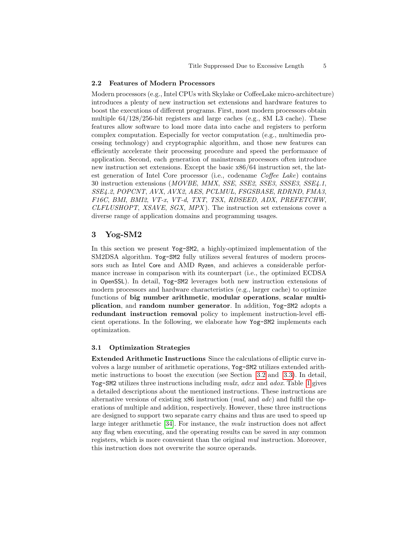### 2.2 Features of Modern Processors

Modern processors (e.g., Intel CPUs with Skylake or CoffeeLake micro-architecture) introduces a plenty of new instruction set extensions and hardware features to boost the executions of different programs. First, most modern processors obtain multiple 64/128/256-bit registers and large caches (e.g., 8M L3 cache). These features allow software to load more data into cache and registers to perform complex computation. Especially for vector computation (e.g., multimedia processing technology) and cryptographic algorithm, and those new features can efficiently accelerate their processing procedure and speed the performance of application. Second, each generation of mainstream processors often introduce new instruction set extensions. Except the basic x86/64 instruction set, the latest generation of Intel Core processor (i.e., codename Coffee Lake) contains 30 instruction extensions (MOVBE, MMX, SSE, SSE2, SSE3, SSSE3, SSE4.1, SSE4.2, POPCNT, AVX, AVX2, AES, PCLMUL, FSGSBASE, RDRND, FMA3, F16C, BMI, BMI2, VT-x, VT-d, TXT, TSX, RDSEED, ADX, PREFETCHW,  $CLFLUSHOPT$ ,  $XSAVE$ ,  $SGX$ ,  $MPX$ ). The instruction set extensions cover a diverse range of application domains and programming usages.

## 3 Yog-SM2

In this section we present Yog-SM2, a highly-optimized implementation of the SM2DSA algorithm. Yog-SM2 fully utilizes several features of modern processors such as Intel Core and AMD Ryzen, and achieves a considerable performance increase in comparison with its counterpart (i.e., the optimized ECDSA in OpenSSL). In detail, Yog-SM2 leverages both new instruction extensions of modern processors and hardware characteristics (e.g., larger cache) to optimize functions of big number arithmetic, modular operations, scalar multiplication, and random number generator. In addition, Yog-SM2 adopts a redundant instruction removal policy to implement instruction-level efficient operations. In the following, we elaborate how Yog-SM2 implements each optimization.

#### 3.1 Optimization Strategies

Extended Arithmetic Instructions Since the calculations of elliptic curve involves a large number of arithmetic operations, Yog-SM2 utilizes extended arithmetic instructions to boost the execution (see Section [3.2](#page-5-0) and [3.3\)](#page-6-0). In detail, Yog-SM2 utilizes three instructions including mulx, adcx and adox. Table [1](#page-5-1) gives a detailed descriptions about the mentioned instructions. These instructions are alternative versions of existing x86 instruction (mul, and adc) and fulfil the operations of multiple and addition, respectively. However, these three instructions are designed to support two separate carry chains and thus are used to speed up large integer arithmetic [\[34\]](#page-16-3). For instance, the mulx instruction does not affect any flag when executing, and the operating results can be saved in any common registers, which is more convenient than the original mul instruction. Moreover, this instruction does not overwrite the source operands.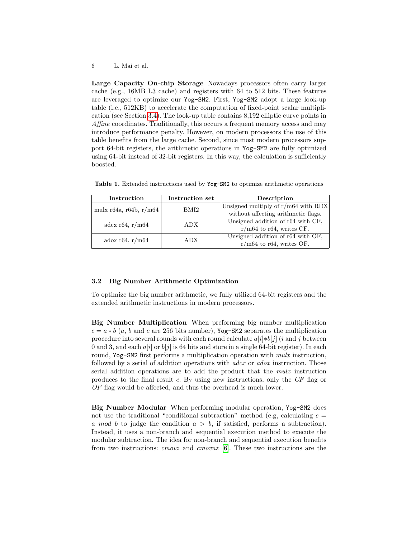Large Capacity On-chip Storage Nowadays processors often carry larger cache (e.g., 16MB L3 cache) and registers with 64 to 512 bits. These features are leveraged to optimize our Yog-SM2. First, Yog-SM2 adopt a large look-up table (i.e., 512KB) to accelerate the computation of fixed-point scalar multiplication (see Section [3.4\)](#page-7-0). The look-up table contains 8,192 elliptic curve points in Affine coordinates. Traditionally, this occurs a frequent memory access and may introduce performance penalty. However, on modern processors the use of this table benefits from the large cache. Second, since most modern processors support 64-bit registers, the arithmetic operations in Yog-SM2 are fully optimized using 64-bit instead of 32-bit registers. In this way, the calculation is sufficiently boosted.

| Instruction              | Instruction set | Description                           |
|--------------------------|-----------------|---------------------------------------|
| mulx $r64a, r64b, r/m64$ | BMI2            | Unsigned multiply of $r/m64$ with RDX |
|                          |                 | without affecting arithmetic flags.   |
| adcx r64, $r/m64$        | <b>ADX</b>      | Unsigned addition of r64 with CF,     |
|                          |                 | $r/m64$ to r64, writes CF.            |
| adox r64, r/m64          | <b>ADX</b>      | Unsigned addition of r64 with OF,     |
|                          |                 | $r/m64$ to r64, writes OF.            |

<span id="page-5-1"></span>Table 1. Extended instructions used by Yog-SM2 to optimize arithmetic operations

#### <span id="page-5-0"></span>3.2 Big Number Arithmetic Optimization

To optimize the big number arithmetic, we fully utilized 64-bit registers and the extended arithmetic instructions in modern processors.

Big Number Multiplication When preforming big number multiplication  $c = a * b$  (a, b and c are 256 bits number), Yog-SM2 separates the multiplication procedure into several rounds with each round calculate  $a[i]*b[i]$  (i and j between 0 and 3, and each  $a[i]$  or  $b[j]$  is 64 bits and store in a single 64-bit register). In each round, Yog-SM2 first performs a multiplication operation with *mulx* instruction, followed by a serial of addition operations with *adcx* or *adox* instruction. Those serial addition operations are to add the product that the mulx instruction produces to the final result c. By using new instructions, only the  $CF$  flag or OF flag would be affected, and thus the overhead is much lower.

Big Number Modular When performing modular operation, Yog-SM2 does not use the traditional "conditional subtraction" method (e.g. calculating  $c =$ a mod b to judge the condition  $a > b$ , if satisfied, performs a subtraction). Instead, it uses a non-branch and sequential execution method to execute the modular subtraction. The idea for non-branch and sequential execution benefits from two instructions: cmovz and cmovnz [\[6\]](#page-14-2). These two instructions are the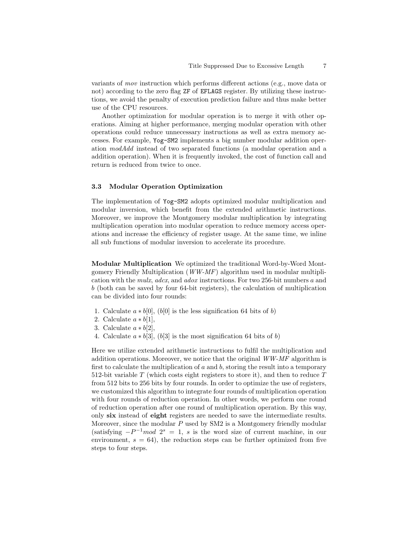variants of mov instruction which performs different actions (e.g., move data or not) according to the zero flag ZF of EFLAGS register. By utilizing these instructions, we avoid the penalty of execution prediction failure and thus make better use of the CPU resources.

Another optimization for modular operation is to merge it with other operations. Aiming at higher performance, merging modular operation with other operations could reduce unnecessary instructions as well as extra memory accesses. For example, Yog-SM2 implements a big number modular addition operation modAdd instead of two separated functions (a modular operation and a addition operation). When it is frequently invoked, the cost of function call and return is reduced from twice to once.

#### <span id="page-6-0"></span>3.3 Modular Operation Optimization

The implementation of Yog-SM2 adopts optimized modular multiplication and modular inversion, which benefit from the extended arithmetic instructions. Moreover, we improve the Montgomery modular multiplication by integrating multiplication operation into modular operation to reduce memory access operations and increase the efficiency of register usage. At the same time, we inline all sub functions of modular inversion to accelerate its procedure.

Modular Multiplication We optimized the traditional Word-by-Word Montgomery Friendly Multiplication (WW-MF) algorithm used in modular multiplication with the mulx, adcx, and adox instructions. For two 256-bit numbers a and b (both can be saved by four 64-bit registers), the calculation of multiplication can be divided into four rounds:

- 1. Calculate  $a * b[0]$ ,  $(b[0]$  is the less signification 64 bits of b)
- 2. Calculate  $a * b[1]$ ,
- 3. Calculate  $a * b[2]$ ,
- 4. Calculate  $a * b[3]$ ,  $(b[3]$  is the most signification 64 bits of b)

Here we utilize extended arithmetic instructions to fulfil the multiplication and addition operations. Moreover, we notice that the original  $WW-MF$  algorithm is first to calculate the multiplication of  $a$  and  $b$ , storing the result into a temporary 512-bit variable  $T$  (which costs eight registers to store it), and then to reduce  $T$ from 512 bits to 256 bits by four rounds. In order to optimize the use of registers, we customized this algorithm to integrate four rounds of multiplication operation with four rounds of reduction operation. In other words, we perform one round of reduction operation after one round of multiplication operation. By this way, only six instead of eight registers are needed to save the intermediate results. Moreover, since the modular  $P$  used by SM2 is a Montgomery friendly modular (satisfying  $-P^{-1}mod 2^s = 1$ , s is the word size of current machine, in our environment,  $s = 64$ ), the reduction steps can be further optimized from five steps to four steps.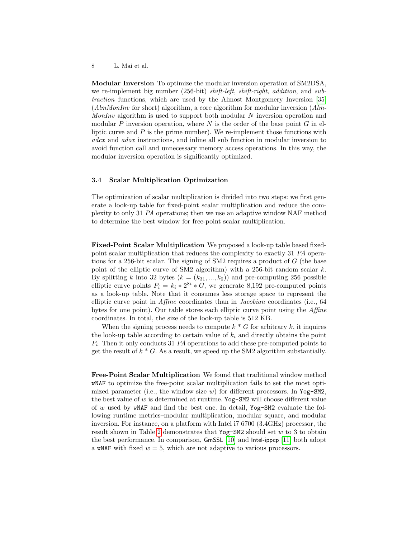Modular Inversion To optimize the modular inversion operation of SM2DSA, we re-implement big number (256-bit) *shift-left*, *shift-right*, *addition*, and *sub*traction functions, which are used by the Almost Montgomery Inversion [\[35\]](#page-16-4)  $(AlmMonInv$  for short) algorithm, a core algorithm for modular inversion  $(Alm$ -MonInv algorithm is used to support both modular  $N$  inversion operation and modular  $P$  inversion operation, where  $N$  is the order of the base point  $G$  in elliptic curve and  $P$  is the prime number). We re-implement those functions with adcx and adox instructions, and inline all sub function in modular inversion to avoid function call and unnecessary memory access operations. In this way, the modular inversion operation is significantly optimized.

#### 3.4 Scalar Multiplication Optimization

The optimization of scalar multiplication is divided into two steps: we first generate a look-up table for fixed-point scalar multiplication and reduce the complexity to only 31 PA operations; then we use an adaptive window NAF method to determine the best window for free-point scalar multiplication.

<span id="page-7-0"></span>Fixed-Point Scalar Multiplication We proposed a look-up table based fixedpoint scalar multiplication that reduces the complexity to exactly 31 PA operations for a 256-bit scalar. The signing of SM2 requires a product of  $G$  (the base point of the elliptic curve of SM2 algorithm) with a 256-bit random scalar  $k$ . By splitting k into 32 bytes  $(k = (k_{31}, ..., k_0))$  and pre-computing 256 possible elliptic curve points  $P_i = k_i * 2^{8i} * G$ , we generate 8,192 pre-computed points as a look-up table. Note that it consumes less storage space to represent the elliptic curve point in Affine coordinates than in Jacobian coordinates (i.e., 64 bytes for one point). Our table stores each elliptic curve point using the Affine coordinates. In total, the size of the look-up table is 512 KB.

When the signing process needs to compute  $k * G$  for arbitrary k, it inquires the look-up table according to certain value of  $k_i$  and directly obtains the point Pi . Then it only conducts 31 PA operations to add these pre-computed points to get the result of  $k * G$ . As a result, we speed up the SM2 algorithm substantially.

Free-Point Scalar Multiplication We found that traditional window method wNAF to optimize the free-point scalar multiplication fails to set the most optimized parameter (i.e., the window size  $w$ ) for different processors. In Yog-SM2, the best value of  $w$  is determined at runtime. Yog-SM2 will choose different value of w used by wNAF and find the best one. In detail, Yog-SM2 evaluate the following runtime metrics–modular multiplication, modular square, and modular inversion. For instance, on a platform with Intel i7 6700 (3.4GHz) processor, the result shown in Table [2](#page-8-0) demonstrates that  $Yog-SM2$  should set w to 3 to obtain the best performance. In comparison, GmSSL [\[10\]](#page-15-12) and Intel-ippcp [\[11\]](#page-15-13) both adopt a wNAF with fixed  $w = 5$ , which are not adaptive to various processors.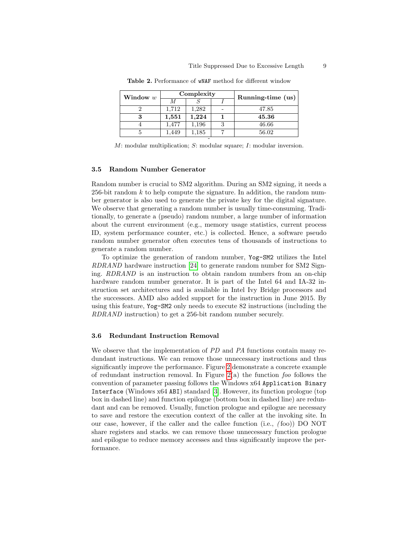| Window w | Complexity |       |   | Running-time (us) |
|----------|------------|-------|---|-------------------|
|          |            |       |   |                   |
|          | 1,712      | 1,282 |   | 47.85             |
|          | 1,551      | 1,224 |   | 45.36             |
|          | 1,477      | 1,196 | 3 | 46.66             |
|          | 1,449      | 1,185 |   | 56.02             |
|          |            |       |   |                   |

<span id="page-8-0"></span>Table 2. Performance of wNAF method for different window

 $M:$  modular multiplication;  $S:$  modular square;  $I:$  modular inversion.

#### 3.5 Random Number Generator

Random number is crucial to SM2 algorithm. During an SM2 signing, it needs a 256-bit random  $k$  to help compute the signature. In addition, the random number generator is also used to generate the private key for the digital signature. We observe that generating a random number is usually time-consuming. Traditionally, to generate a (pseudo) random number, a large number of information about the current environment (e.g., memory usage statistics, current process ID, system performance counter, etc.) is collected. Hence, a software pseudo random number generator often executes tens of thousands of instructions to generate a random number.

To optimize the generation of random number, Yog-SM2 utilizes the Intel RDRAND hardware instruction [\[24\]](#page-15-14) to generate random number for SM2 Signing. RDRAND is an instruction to obtain random numbers from an on-chip hardware random number generator. It is part of the Intel 64 and IA-32 instruction set architectures and is available in Intel Ivy Bridge processors and the successors. AMD also added support for the instruction in June 2015. By using this feature, Yog-SM2 only needs to execute 82 instructions (including the RDRAND instruction) to get a 256-bit random number securely.

#### 3.6 Redundant Instruction Removal

We observe that the implementation of PD and PA functions contain many redundant instructions. We can remove those unnecessary instructions and thus significantly improve the performance. Figure [2](#page-9-0) demonstrate a concrete example of redundant instruction removal. In Figure  $2(a)$  the function foo follows the convention of parameter passing follows the Windows x64 Application Binary Interface (Windows x64 ABI) standard [\[3\]](#page-14-3). However, its function prologue (top box in dashed line) and function epilogue (bottom box in dashed line) are redundant and can be removed. Usually, function prologue and epilogue are necessary to save and restore the execution context of the caller at the invoking site. In our case, however, if the caller and the callee function (i.e., ( foo)) DO NOT share registers and stacks. we can remove those unnecessary function prologue and epilogue to reduce memory accesses and thus significantly improve the performance.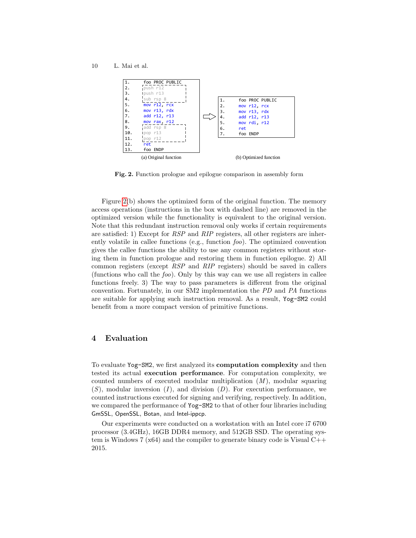10 L. Mai et al.



<span id="page-9-0"></span>Fig. 2. Function prologue and epilogue comparison in assembly form

Figure [2\(](#page-9-0)b) shows the optimized form of the original function. The memory access operations (instructions in the box with dashed line) are removed in the optimized version while the functionality is equivalent to the original version. Note that this redundant instruction removal only works if certain requirements are satisfied: 1) Except for RSP and RIP registers, all other registers are inherently volatile in callee functions (e.g., function foo). The optimized convention gives the callee functions the ability to use any common registers without storing them in function prologue and restoring them in function epilogue. 2) All common registers (except RSP and RIP registers) should be saved in callers (functions who call the  $f\circ\phi$ ). Only by this way can we use all registers in callee functions freely. 3) The way to pass parameters is different from the original convention. Fortunately, in our SM2 implementation the PD and PA functions are suitable for applying such instruction removal. As a result, Yog-SM2 could benefit from a more compact version of primitive functions.

# 4 Evaluation

To evaluate Yog-SM2, we first analyzed its computation complexity and then tested its actual execution performance. For computation complexity, we counted numbers of executed modular multiplication  $(M)$ , modular squaring  $(S)$ , modular inversion  $(I)$ , and division  $(D)$ . For execution performance, we counted instructions executed for signing and verifying, respectively. In addition, we compared the performance of Yog-SM2 to that of other four libraries including GmSSL, OpenSSL, Botan, and Intel-ippcp.

Our experiments were conducted on a workstation with an Intel core i7 6700 processor (3.4GHz), 16GB DDR4 memory, and 512GB SSD. The operating system is Windows 7 ( $x64$ ) and the compiler to generate binary code is Visual  $C++$ 2015.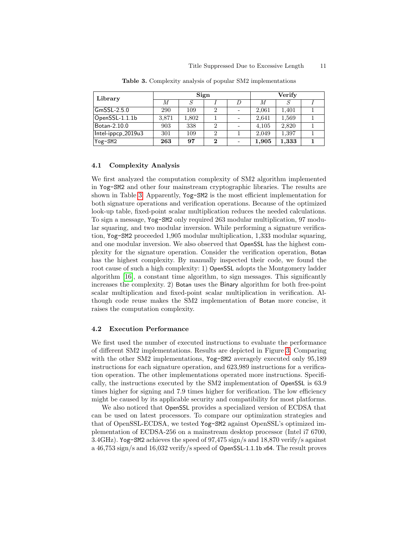| Library                                   | Sign  |       |          |  | Verify |       |  |
|-------------------------------------------|-------|-------|----------|--|--------|-------|--|
|                                           | М     |       |          |  |        |       |  |
| GmSSL-2.5.0                               | 290   | 109   |          |  | 2.061  | 1.401 |  |
| $\mathsf{OpenSSL}\text{-}1.1.1\mathrm{b}$ | 3.871 | 1,802 |          |  | 2.641  | 1,569 |  |
| Botan-2.10.0                              | 903   | 338   |          |  | 4,105  | 2.820 |  |
| Intel-ippcp_2019u3                        | 301   | 109   |          |  | 2.049  | 1,397 |  |
| Yog-SM2                                   | 263   | 97    | $\bf{2}$ |  | 1,905  | 1,333 |  |

<span id="page-10-0"></span>Table 3. Complexity analysis of popular SM2 implementations

#### 4.1 Complexity Analysis

We first analyzed the computation complexity of SM2 algorithm implemented in Yog-SM2 and other four mainstream cryptographic libraries. The results are shown in Table [3.](#page-10-0) Apparently, Yog-SM2 is the most efficient implementation for both signature operations and verification operations. Because of the optimized look-up table, fixed-point scalar multiplication reduces the needed calculations. To sign a message, Yog-SM2 only required 263 modular multiplication, 97 modular squaring, and two modular inversion. While performing a signature verification, Yog-SM2 proceeded 1,905 modular multiplication, 1,333 modular squaring, and one modular inversion. We also observed that OpenSSL has the highest complexity for the signature operation. Consider the verification operation, Botan has the highest complexity. By manually inspected their code, we found the root cause of such a high complexity: 1) OpenSSL adopts the Montgomery ladder algorithm [\[16\]](#page-15-15), a constant time algorithm, to sign messages. This significantly increases the complexity. 2) Botan uses the Binary algorithm for both free-point scalar multiplication and fixed-point scalar multiplication in verification. Although code reuse makes the SM2 implementation of Botan more concise, it raises the computation complexity.

#### 4.2 Execution Performance

We first used the number of executed instructions to evaluate the performance of different SM2 implementations. Results are depicted in Figure [3.](#page-11-0) Comparing with the other SM2 implementations, Yog-SM2 averagely executed only 95,189 instructions for each signature operation, and 623,989 instructions for a verification operation. The other implementations operated more instructions. Specifically, the instructions executed by the SM2 implementation of OpenSSL is 63.9 times higher for signing and 7.9 times higher for verification. The low efficiency might be caused by its applicable security and compatibility for most platforms.

We also noticed that OpenSSL provides a specialized version of ECDSA that can be used on latest processors. To compare our optimization strategies and that of OpenSSL-ECDSA, we tested Yog-SM2 against OpenSSL's optimized implementation of ECDSA-256 on a mainstream desktop processor (Intel i7 6700, 3.4GHz). Yog-SM2 achieves the speed of 97,475 sign/s and 18,870 verify/s against a 46,753 sign/s and 16,032 verify/s speed of OpenSSL-1.1.1b x64. The result proves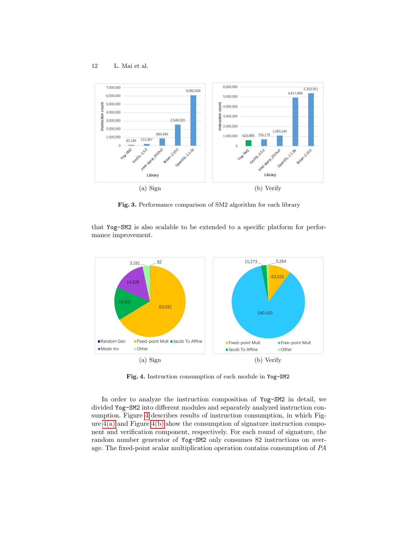

<span id="page-11-0"></span>Fig. 3. Performance comparison of SM2 algorithm for each library

that Yog-SM2 is also scalable to be extended to a specific platform for performance improvement.

<span id="page-11-2"></span>

<span id="page-11-3"></span><span id="page-11-1"></span>Fig. 4. Instruction consumption of each module in Yog-SM2

In order to analyze the instruction composition of Yog-SM2 in detail, we divided Yog-SM2 into different modules and separately analyzed instruction consumption. Figure [4](#page-11-1) describes results of instruction consumption, in which Figure  $4(a)$  and Figure  $4(b)$  show the consumption of signature instruction component and verification component, respectively. For each round of signature, the random number generator of Yog-SM2 only consumes 82 instructions on average. The fixed-point scalar multiplication operation contains consumption of PA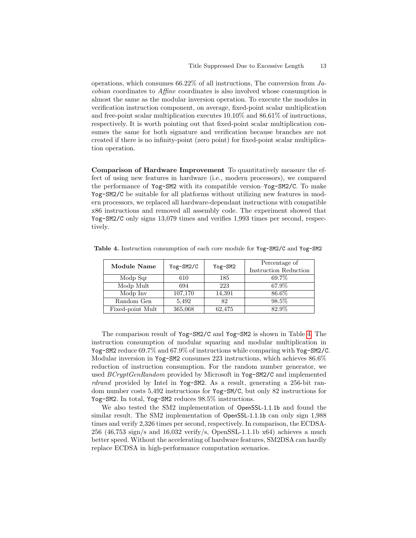operations, which consumes 66.22% of all instructions, The conversion from Jacobian coordinates to Affine coordinates is also involved whose consumption is almost the same as the modular inversion operation. To execute the modules in verification instruction component, on average, fixed-point scalar multiplication and free-point scalar multiplication executes 10.10% and 86.61% of instructions, respectively. It is worth pointing out that fixed-point scalar multiplication consumes the same for both signature and verification because branches are not created if there is no infinity-point (zero point) for fixed-point scalar multiplication operation.

Comparison of Hardware Improvement To quantitatively measure the effect of using new features in hardware (i.e., modern processors), we compared the performance of Yog-SM2 with its compatible version–Yog-SM2/C. To make Yog-SM2/C be suitable for all platforms without utilizing new features in modern processors, we replaced all hardware-dependant instructions with compatible x86 instructions and removed all assembly code. The experiment showed that Yog-SM2/C only signs 13,079 times and verifies 1,993 times per second, respectively.

<span id="page-12-0"></span>

| Module Name      | Yog-SM2/C | $Yog-SM2$ | Percentage of<br><b>Instruction Reduction</b> |
|------------------|-----------|-----------|-----------------------------------------------|
| Modp Sqr         | 610       | 185       | 69.7%                                         |
| Modp Mult        | 694       | 223       | 67.9%                                         |
| Modp Inv         | 107,170   | 14,391    | 86.6%                                         |
| Random Gen       | 5,492     | 82        | 98.5%                                         |
| Fixed-point Mult | 365,068   | 62,475    | 82.9%                                         |

Table 4. Instruction consumption of each core module for Yog-SM2/C and Yog-SM2

The comparison result of Yog-SM2/C and Yog-SM2 is shown in Table [4.](#page-12-0) The instruction consumption of modular squaring and modular multiplication in Yog-SM2 reduce 69.7% and 67.9% of instructions while comparing with Yog-SM2/C. Modular inversion in Yog-SM2 consumes 223 instructions, which achieves 86.6% reduction of instruction consumption. For the random number generator, we used BCryptGenRandom provided by Microsoft in Yog-SM2/C and implemented rdrand provided by Intel in Yog-SM2. As a result, generating a 256-bit random number costs 5,492 instructions for Yog-SM/C, but only 82 instructions for Yog-SM2. In total, Yog-SM2 reduces 98.5% instructions.

We also tested the SM2 implementation of OpenSSL-1.1.1b and found the similar result. The SM2 implementation of OpenSSL-1.1.1b can only sign 1,988 times and verify 2,326 times per second, respectively. In comparison, the ECDSA- $256$  (46,753 sign/s and 16,032 verify/s, OpenSSL-1.1.1b x64) achieves a much better speed. Without the accelerating of hardware features, SM2DSA can hardly replace ECDSA in high-performance computation scenarios.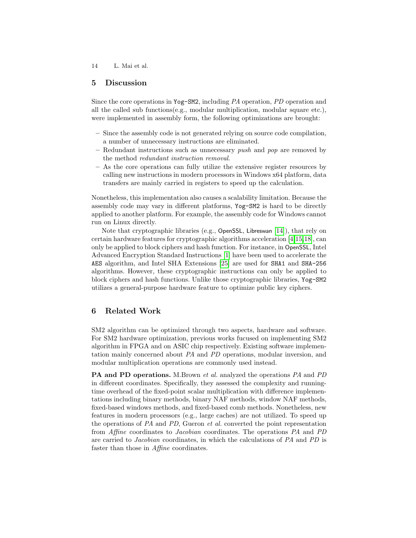# 5 Discussion

Since the core operations in Yog-SM2, including PA operation, PD operation and all the called sub functions $(e.g., \text{ modular multiplication}, \text{ modular square etc.}),$ were implemented in assembly form, the following optimizations are brought:

- Since the assembly code is not generated relying on source code compilation, a number of unnecessary instructions are eliminated.
- Redundant instructions such as unnecessary *push* and *pop* are removed by the method redundant instruction removal.
- As the core operations can fully utilize the extensive register resources by calling new instructions in modern processors in Windows x64 platform, data transfers are mainly carried in registers to speed up the calculation.

Nonetheless, this implementation also causes a scalability limitation. Because the assembly code may vary in different platforms, Yog-SM2 is hard to be directly applied to another platform. For example, the assembly code for Windows cannot run on Linux directly.

Note that cryptographic libraries (e.g., OpenSSL, Libreswan [\[14\]](#page-15-16)), that rely on certain hardware features for cryptographic algorithms acceleration [\[4,](#page-14-4)[15,](#page-15-17)[18\]](#page-15-18), can only be applied to block ciphers and hash function. For instance, in OpenSSL, Intel Advanced Encryption Standard Instructions [\[1\]](#page-14-5) have been used to accelerate the AES algorithm, and Intel SHA Extensions [\[25\]](#page-15-19) are used for SHA1 and SHA-256 algorithms. However, these cryptographic instructions can only be applied to block ciphers and hash functions. Unlike those cryptographic libraries, Yog-SM2 utilizes a general-purpose hardware feature to optimize public key ciphers.

# 6 Related Work

SM2 algorithm can be optimized through two aspects, hardware and software. For SM2 hardware optimization, previous works fucused on implementing SM2 algorithm in FPGA and on ASIC chip respectively. Existing software implementation mainly concerned about PA and PD operations, modular inversion, and modular multiplication operations are commonly used instead.

PA and PD operations. M.Brown et al. analyzed the operations PA and PD in different coordinates. Specifically, they assessed the complexity and runningtime overhead of the fixed-point scalar multiplication with difference implementations including binary methods, binary NAF methods, window NAF methods, fixed-based windows methods, and fixed-based comb methods. Nonetheless, new features in modern processors (e.g., large caches) are not utilized. To speed up the operations of PA and PD, Gueron et al. converted the point representation from Affine coordinates to Jacobian coordinates. The operations PA and PD are carried to Jacobian coordinates, in which the calculations of PA and PD is faster than those in Affine coordinates.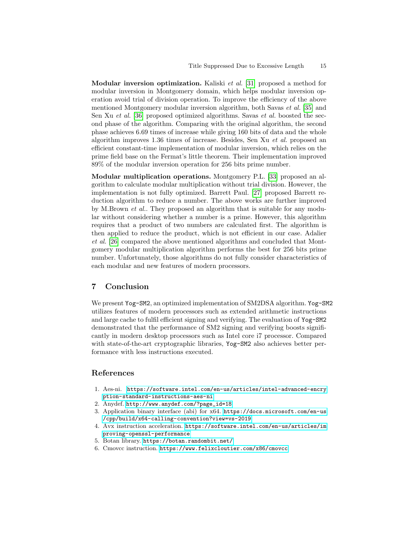**Modular inversion optimization.** Kaliski *et al.* [\[31\]](#page-15-20) proposed a method for modular inversion in Montgomery domain, which helps modular inversion operation avoid trial of division operation. To improve the efficiency of the above mentioned Montgomery modular inversion algorithm, both Savas et al. [\[35\]](#page-16-4) and Sen Xu et al. [\[36\]](#page-16-0) proposed optimized algorithms. Savas et al. boosted the second phase of the algorithm. Comparing with the original algorithm, the second phase achieves 6.69 times of increase while giving 160 bits of data and the whole algorithm improves 1.36 times of increase. Besides, Sen Xu et al. proposed an efficient constant-time implementation of modular inversion, which relies on the prime field base on the Fermat's little theorem. Their implementation improved 89% of the modular inversion operation for 256 bits prime number.

Modular multiplication operations. Montgomery P.L. [\[33\]](#page-15-21) proposed an algorithm to calculate modular multiplication without trial division. However, the implementation is not fully optimized. Barrett Paul. [\[27\]](#page-15-22) proposed Barrett reduction algorithm to reduce a number. The above works are further improved by M.Brown et al.. They proposed an algorithm that is suitable for any modular without considering whether a number is a prime. However, this algorithm requires that a product of two numbers are calculated first. The algorithm is then applied to reduce the product, which is not efficient in our case. Adalier et al. [\[26\]](#page-15-23) compared the above mentioned algorithms and concluded that Montgomery modular multiplication algorithm performs the best for 256 bits prime number. Unfortunately, those algorithms do not fully consider characteristics of each modular and new features of modern processors.

## 7 Conclusion

We present Yog-SM2, an optimized implementation of SM2DSA algorithm. Yog-SM2 utilizes features of modern processors such as extended arithmetic instructions and large cache to fulfil efficient signing and verifying. The evaluation of Yog-SM2 demonstrated that the performance of SM2 signing and verifying boosts significantly in modern desktop processors such as Intel core i7 processor. Compared with state-of-the-art cryptographic libraries, Yog-SM2 also achieves better performance with less instructions executed.

# References

- <span id="page-14-5"></span>1. Aes-ni. [https://software.intel.com/en-us/articles/intel-advanced-encry]( https://software.intel.com/en-us/articles/intel-advanced-encryption-standard-instructions-aes-ni ) [ption-standard-instructions-aes-ni]( https://software.intel.com/en-us/articles/intel-advanced-encryption-standard-instructions-aes-ni )
- <span id="page-14-0"></span>2. Anydef. [http://www.anydef.com/?page\\_id=18](http://www.anydef.com/?page_id=18)
- <span id="page-14-3"></span>3. Application binary interface (abi) for x64. [https://docs.microsoft.com/en-us]( https://docs.microsoft.com/en-us/cpp/build/x64-calling-convention?view=vs-2019 ) [/cpp/build/x64-calling-convention?view=vs-2019]( https://docs.microsoft.com/en-us/cpp/build/x64-calling-convention?view=vs-2019 )
- <span id="page-14-4"></span>4. Avx instruction acceleration. [https://software.intel.com/en-us/articles/im]( https://software.intel.com/en-us/articles/improving-openssl-performance ) [proving-openssl-performance]( https://software.intel.com/en-us/articles/improving-openssl-performance )
- <span id="page-14-1"></span>5. Botan library. [https://botan.randombit.net/]( https://botan.randombit.net/ )
- <span id="page-14-2"></span>6. Cmovcc instruction. [https://www.felixcloutier.com/x86/cmovcc]( https://www.felixcloutier.com/x86/cmovcc )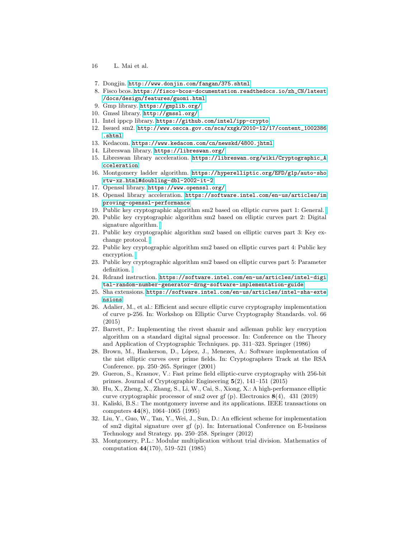- 16 L. Mai et al.
- <span id="page-15-0"></span>7. Dongjin. <http://www.donjin.com/fangan/375.shtml>
- <span id="page-15-1"></span>8. Fisco bcos. [https://fisco-bcos-documentation.readthedocs.io/zh\\_CN/latest]( https://fisco-bcos-documentation.readthedocs.io/zh_CN/latest/docs/design/features/guomi.html ) [/docs/design/features/guomi.html]( https://fisco-bcos-documentation.readthedocs.io/zh_CN/latest/docs/design/features/guomi.html )
- <span id="page-15-11"></span>9. Gmp library. [https://gmplib.org/]( https://gmplib.org/ )
- <span id="page-15-12"></span>10. Gmssl library. [http://gmssl.org/]( http://gmssl.org/ )
- <span id="page-15-13"></span>11. Intel ippcp library. [https://github.com/intel/ipp-crypto]( https://github.com/intel/ipp-crypto )
- <span id="page-15-7"></span>12. Issued sm2. [http://www.oscca.gov.cn/sca/xxgk/2010-12/17/content\\_1002386]( http://www.oscca.gov.cn/sca/xxgk/2010-12/17/content_1002386.shtml ) [.shtml]( http://www.oscca.gov.cn/sca/xxgk/2010-12/17/content_1002386.shtml )
- <span id="page-15-2"></span>13. Kedacom. [https://www.kedacom.com/cn/newskd/4800.jhtml]( https://www.kedacom.com/cn/newskd/4800.jhtml )
- <span id="page-15-16"></span>14. Libreswan library. [https://libreswan.org/]( https://libreswan.org/ )
- <span id="page-15-17"></span>15. Libreswan library acceleration. [https://libreswan.org/wiki/Cryptographic\\_A]( https://libreswan.org/wiki/Cryptographic_Acceleration ) [cceleration]( https://libreswan.org/wiki/Cryptographic_Acceleration )
- <span id="page-15-15"></span>16. Montgomery ladder algorithm. [https://hyperelliptic.org/EFD/g1p/auto-sho]( https://hyperelliptic.org/EFD/g1p/auto-shortw-xz.html#doubling-dbl-2002-it-2 ) [rtw-xz.html#doubling-dbl-2002-it-2]( https://hyperelliptic.org/EFD/g1p/auto-shortw-xz.html#doubling-dbl-2002-it-2 )
- <span id="page-15-10"></span>17. Openssl library. [https://www.openssl.org/]( https://www.openssl.org/ )
- <span id="page-15-18"></span>18. Openssl library acceleration. [https://software.intel.com/en-us/articles/im]( https://software.intel.com/en-us/articles/improving-openssl-performance ) [proving-openssl-performance]( https://software.intel.com/en-us/articles/improving-openssl-performance )
- <span id="page-15-8"></span>19. Public key cryptographic algorithm sm2 based on elliptic curves part 1: General.
- 20. Public key cryptographic algorithm sm2 based on elliptic curves part 2: Digital signature algorithm.
- 21. Public key cryptographic algorithm sm2 based on elliptic curves part 3: Key exchange protocol.
- 22. Public key cryptographic algorithm sm2 based on elliptic curves part 4: Public key encryption.
- <span id="page-15-9"></span>23. Public key cryptographic algorithm sm2 based on elliptic curves part 5: Parameter definition.
- <span id="page-15-14"></span>24. Rdrand instruction. [https://software.intel.com/en-us/articles/intel-digi]( https://software.intel.com/en-us/articles/intel-digital-random-number-generator-drng-software-implementation-guide ) [tal-random-number-generator-drng-software-implementation-guide]( https://software.intel.com/en-us/articles/intel-digital-random-number-generator-drng-software-implementation-guide )
- <span id="page-15-19"></span>25. Sha extensions. [https://software.intel.com/en-us/articles/intel-sha-exte]( https://software.intel.com/en-us/articles/intel-sha-extensions ) [nsions]( https://software.intel.com/en-us/articles/intel-sha-extensions )
- <span id="page-15-23"></span>26. Adalier, M., et al.: Efficient and secure elliptic curve cryptography implementation of curve p-256. In: Workshop on Elliptic Curve Cryptography Standards. vol. 66 (2015)
- <span id="page-15-22"></span>27. Barrett, P.: Implementing the rivest shamir and adleman public key encryption algorithm on a standard digital signal processor. In: Conference on the Theory and Application of Cryptographic Techniques. pp. 311–323. Springer (1986)
- <span id="page-15-6"></span>28. Brown, M., Hankerson, D., L´opez, J., Menezes, A.: Software implementation of the nist elliptic curves over prime fields. In: Cryptographers Track at the RSA Conference. pp. 250–265. Springer (2001)
- <span id="page-15-5"></span>29. Gueron, S., Krasnov, V.: Fast prime field elliptic-curve cryptography with 256-bit primes. Journal of Cryptographic Engineering 5(2), 141–151 (2015)
- <span id="page-15-3"></span>30. Hu, X., Zheng, X., Zhang, S., Li, W., Cai, S., Xiong, X.: A high-performance elliptic curve cryptographic processor of sm2 over gf (p). Electronics 8(4), 431 (2019)
- <span id="page-15-20"></span>31. Kaliski, B.S.: The montgomery inverse and its applications. IEEE transactions on computers 44(8), 1064–1065 (1995)
- <span id="page-15-4"></span>32. Liu, Y., Guo, W., Tan, Y., Wei, J., Sun, D.: An efficient scheme for implementation of sm2 digital signature over gf (p). In: International Conference on E-business Technology and Strategy. pp. 250–258. Springer (2012)
- <span id="page-15-21"></span>33. Montgomery, P.L.: Modular multiplication without trial division. Mathematics of computation 44(170), 519–521 (1985)